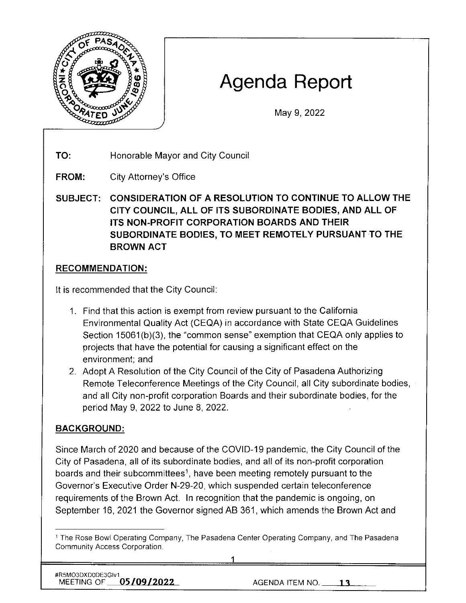

# **Agenda Report**

May 9, 2022

**TO:**  Honorable Mayor and City Council

**FROM:**  City Attorney's Office

**SUBJECT: CONSIDERATION OF A RESOLUTION TO CONTINUE TO ALLOW THE CITY COUNCIL, ALL OF ITS SUBORDINATE BODIES, AND ALL OF ITS NON-PROFIT CORPORATION BOARDS AND THEIR SUBORDINATE BODIES, TO MEET REMOTELY PURSUANT TO THE BROWN ACT** 

## **RECOMMENDATION:**

It is recommended that the City Council:

- 1. Find that this action is exempt from review pursuant *to* the California Environmental Quality Act (CEQA) in accordance with State CEQA Guidelines Section 15061(b)(3), the "common sense" exemption that CEQA only applies to projects that have the potential for causing a significant effect on the environment; and
- 2. Adopt A Resolution of the City Council of the City of Pasadena Authorizing Remote Teleconference Meetings of the City Council, all City subordinate bodies, and all City non-profit corporation Boards and their subordinate bodies, for the period May 9, 2022 to June 8, 2022.

# **BACKGROUND:**

Since March of 2020 and because of the COVID-19 pandemic, the City Council of the City of Pasadena, all of its subordinate bodies, and all of its non-profit corporation boards and their subcommittees<sup>1</sup>, have been meeting remotely pursuant to the Governor's Executive Order N-29-20, which suspended certain teleconference requirements of the Brown Act. In recognition that the pandemic is ongoing, on September 16, 2021 the Governor signed AB 361 , which amends the Brown Act and

#R5MO3DXD0DE3Glv1 MEETING OF **05/09/2022** AGENDA ITEM NO. 13

<sup>1</sup>The Rose Bowl Operating Company, The Pasadena Center Operating Company, and The Pasadena Community Access Corporation.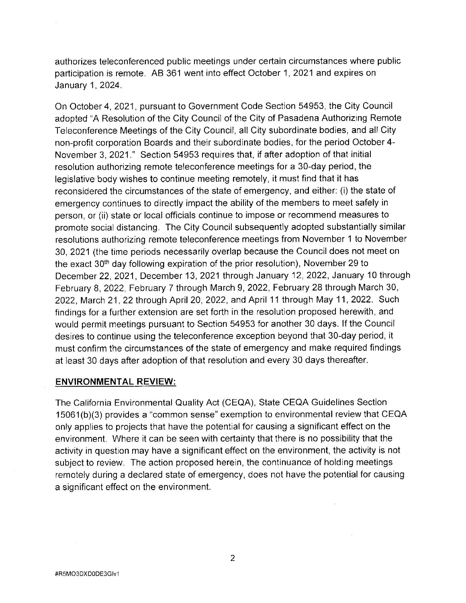authorizes teleconferenced public meetings under certain circumstances where public participation is remote. AB 361 went into effect October 1, 2021 and expires on January 1, 2024.

On October 4, 2021, pursuant to Government Code Section 54953, the City Council adopted "A Resolution of the City Council of the City of Pasadena Authorizing Remote Teleconference Meetings of the City Council, all City subordinate bodies, and all City non-profit corporation Boards and their subordinate bodies, for the period October 4- November 3, 2021." Section 54953 requires that, if after adoption of that initial resolution authorizing remote teleconference meetings for a 30-day period, the legislative body wishes to continue meeting remotely, it must find that it has reconsidered the circumstances of the state of emergency, and either: (i) the state of emergency continues to directly impact the ability of the members to meet safely in person, or (ii) state or local officials continue to impose or recommend measures to promote social distancing. The City Council subsequently adopted substantially similar resolutions authorizing remote teleconference meetings from November 1 to November 30, 2021 (the time periods necessarily overlap because the Council does not meet on the exact 30<sup>th</sup> day following expiration of the prior resolution), November 29 to December 22, 2021, December 13, 2021 through January 12, 2022, January 10 through February 8, 2022, February 7 through March 9, 2022, February 28 through March 30, 2022, March 21, 22 through April 20, 2022, and April 11 through May 11, 2022. Such findings for a further extension are set forth in the resolution proposed herewith, and would permit meetings pursuant to Section 54953 for another 30 days. If the Council desires to continue using the teleconference exception beyond that 30-day period, it must confirm the circumstances of the state of emergency and make required findings at least 30 days after adoption of that resolution and every 30 days thereafter.

#### **ENVIRONMENTAL REVIEW:**

 $\%$ 

The California Environmental Quality Act (CEQA), State CEQA Guidelines Section 15061 (b)(3) provides a "common sense" exemption to environmental review that CEQA only applies to projects that have the potential for causing a significant effect on the environment. Where it can be seen with certainty that there is no possibility that the activity in question may have a significant effect on the environment, the activity is not subject to review. The action proposed herein, the continuance of holding meetings remotely during a declared state of emergency, does not have the potential for causing a significant effect on the environment.

 $\bar{R}$